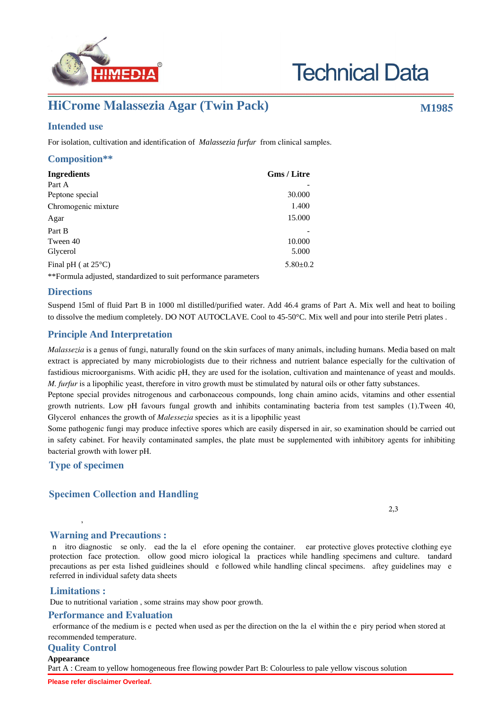

# **Technical Data**

## **HiCrome Malassezia Agar (Twin Pack) M1985**

#### **Intended use**

For isolation, cultivation and identification of *Malassezia furfur* from clinical samples.

### **Composition\*\***

| <b>Ingredients</b>            | <b>Gms / Litre</b> |  |
|-------------------------------|--------------------|--|
| Part A                        |                    |  |
| Peptone special               | 30.000             |  |
| Chromogenic mixture           | 1.400              |  |
| Agar                          | 15.000             |  |
| Part B                        |                    |  |
| Tween 40                      | 10.000             |  |
| Glycerol                      | 5.000              |  |
| Final pH ( $at 25^{\circ}$ C) | $5.80 \pm 0.2$     |  |

\*\*Formula adjusted, standardized to suit performance parameters

#### **Directions**

Suspend 15ml of fluid Part B in 1000 ml distilled/purified water. Add 46.4 grams of Part A. Mix well and heat to boiling to dissolve the medium completely. DO NOT AUTOCLAVE. Cool to 45-50°C. Mix well and pour into sterile Petri plates .

#### **Principle And Interpretation**

*Malassezia* is a genus of fungi, naturally found on the skin surfaces of many animals, including humans. Media based on malt extract is appreciated by many microbiologists due to their richness and nutrient balance especially for the cultivation of fastidious microorganisms. With acidic pH, they are used for the isolation, cultivation and maintenance of yeast and moulds. *M. furfur* is a lipophilic yeast, therefore in vitro growth must be stimulated by natural oils or other fatty substances.

Peptone special provides nitrogenous and carbonaceous compounds, long chain amino acids, vitamins and other essential growth nutrients. Low pH favours fungal growth and inhibits contaminating bacteria from test samples (1).Tween 40, Glycerol enhances the growth of *Malessezia* species as it is a lipophilic yeast

Some pathogenic fungi may produce infective spores which are easily dispersed in air, so examination should be carried out in safety cabinet. For heavily contaminated samples, the plate must be supplemented with inhibitory agents for inhibiting bacterial growth with lower pH.

#### **Type of specimen**

#### **Specimen Collection and Handling:**

 $\sim$  2,3

#### **Warning and Precautions :**

n itro diagnostic se only. ead the la el efore opening the container. ear protective gloves protective clothing eye protection face protection. ollow good micro iological la practices while handling specimens and culture. tandard precautions as per esta lished guidleines should e followed while handling clincal specimens. aftey guidelines may e referred in individual safety data sheets

#### **Limitations :**

Due to nutritional variation , some strains may show poor growth.

 $\mathcal{A}$ 

#### **Performance and Evaluation**

erformance of the medium is e pected when used as per the direction on the la el within the e piry period when stored at recommended temperature.

#### **Quality Control**

#### **Appearance**

Part A : Cream to yellow homogeneous free flowing powder Part B: Colourless to pale yellow viscous solution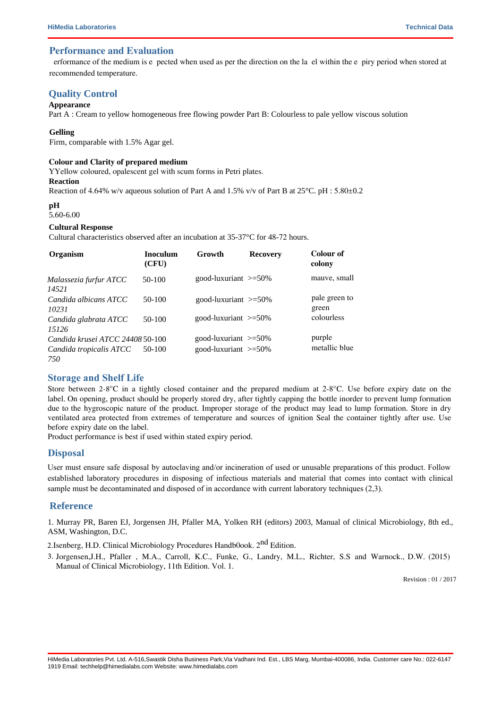#### **Performance and Evaluation**

erformance of the medium is e pected when used as per the direction on the la el within the e piry period when stored at recommended temperature.

#### **Quality Control**

#### **Appearance**

Part A : Cream to yellow homogeneous free flowing powder Part B: Colourless to pale yellow viscous solution

#### **Gelling**

Firm, comparable with 1.5% Agar gel.

#### **Colour and Clarity of prepared medium**

#### YYellow coloured, opalescent gel with scum forms in Petri plates.

**Reaction**

Reaction of 4.64% w/v aqueous solution of Part A and 1.5% v/v of Part B at  $25^{\circ}$ C. pH : 5.80 $\pm$ 0.2

#### **pH**

#### 5.60-6.00

#### **Cultural Response**

Cultural characteristics observed after an incubation at 35-37°C for 48-72 hours.

| Organism                         | <b>Inoculum</b><br>(CFU) | Growth                     | <b>Recovery</b> | Colour of<br>colony    |
|----------------------------------|--------------------------|----------------------------|-----------------|------------------------|
| Malassezia furfur ATCC<br>14521  | 50-100                   | good-luxuriant $\geq 50\%$ |                 | mauve, small           |
| Candida albicans ATCC<br>10231   | $50-100$                 | good-luxuriant $\geq 50\%$ |                 | pale green to<br>green |
| Candida glabrata ATCC<br>15126   | $50-100$                 | good-luxuriant $\geq 50\%$ |                 | colourless             |
| Candida krusei ATCC 24408 50-100 |                          | good-luxuriant $\geq 50\%$ |                 | purple                 |
| Candida tropicalis ATCC<br>750   | 50-100                   | good-luxuriant $\geq 50\%$ |                 | metallic blue          |

#### **Storage and Shelf Life**

Store between 2-8 $^{\circ}$ C in a tightly closed container and the prepared medium at 2-8 $^{\circ}$ C. Use before expiry date on the label. On opening, product should be properly stored dry, after tightly capping the bottle inorder to prevent lump formation due to the hygroscopic nature of the product. Improper storage of the product may lead to lump formation. Store in dry ventilated area protected from extremes of temperature and sources of ignition Seal the container tightly after use. Use before expiry date on the label.

Product performance is best if used within stated expiry period.

#### **Disposal**

User must ensure safe disposal by autoclaving and/or incineration of used or unusable preparations of this product. Follow established laboratory procedures in disposing of infectious materials and material that comes into contact with clinical sample must be decontaminated and disposed of in accordance with current laboratory techniques (2,3).

#### **Reference**

1. Murray PR, Baren EJ, Jorgensen JH, Pfaller MA, Yolken RH (editors) 2003, Manual of clinical Microbiology, 8th ed., ASM, Washington, D.C.

2.Isenberg, H.D. Clinical Microbiology Procedures Handb0ook. 2<sup>nd</sup> Edition.

3. Jorgensen,J.H., Pfaller , M.A., Carroll, K.C., Funke, G., Landry, M.L., Richter, S.S and Warnock., D.W. (2015) Manual of Clinical Microbiology, 11th Edition. Vol. 1.

Revision : 01 / 2017